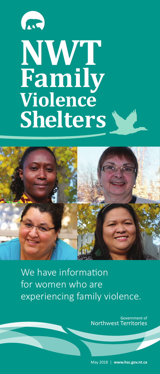# m **NWT Family Violence Shelters**



We have information for women who are experiencing family violence.

> Government of Northwest Territories

> May 2018 | **www.hss.gov.nt.ca**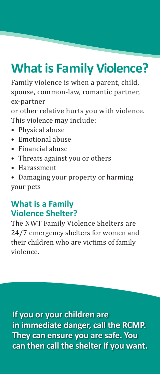## **What is Family Violence?**

Family violence is when a parent, child, spouse, common-law, romantic partner, ex-partner or other relative hurts you with violence.

This violence may include:

- Physical abuse
- Emotional abuse
- Financial abuse
- Threats against you or others
- Harassment
- Damaging your property or harming your pets

### **What is a Family Violence Shelter?**

The NWT Family Violence Shelters are 24/7 emergency shelters for women and their children who are victims of family violence.

**If you or your children are in immediate danger, call the RCMP. They can ensure you are safe. You can then call the shelter if you want.**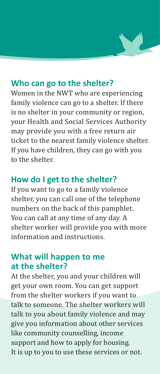#### **Who can go to the shelter?**

Women in the NWT who are experiencing family violence can go to a shelter. If there is no shelter in your community or region, your Health and Social Services Authority may provide you with a free return air ticket to the nearest family violence shelter. If you have children, they can go with you to the shelter.

#### **How do I get to the shelter?**

If you want to go to a family violence shelter, you can call one of the telephone numbers on the back of this pamphlet. You can call at any time of any day. A shelter worker will provide you with more information and instructions.

#### **What will happen to me at the shelter?**

At the shelter, you and your children will get your own room. You can get support from the shelter workers if you want to talk to someone. The shelter workers will talk to you about family violence and may give you information about other services like community counselling, income support and how to apply for housing. It is up to you to use these services or not.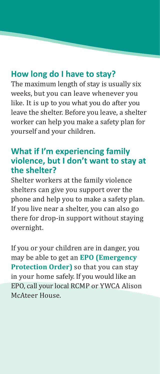#### **How long do I have to stay?**

The maximum length of stay is usually six weeks, but you can leave whenever you like. It is up to you what you do after you leave the shelter. Before you leave, a shelter worker can help you make a safety plan for yourself and your children.

#### **What if I'm experiencing family violence, but I don't want to stay at the shelter?**

Shelter workers at the family violence shelters can give you support over the phone and help you to make a safety plan. If you live near a shelter, you can also go there for drop-in support without staying overnight.

If you or your children are in danger, you may be able to get an **EPO (Emergency Protection Order)** so that you can stay in your home safely. If you would like an EPO, call your local RCMP or YWCA Alison McAteer House.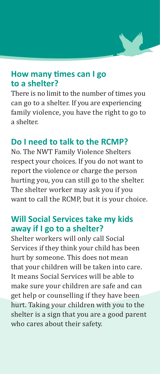

#### **How many times can I go to a shelter?**

There is no limit to the number of times you can go to a shelter. If you are experiencing family violence, you have the right to go to a shelter.

#### **Do I need to talk to the RCMP?**

No. The NWT Family Violence Shelters respect your choices. If you do not want to report the violence or charge the person hurting you, you can still go to the shelter. The shelter worker may ask you if you want to call the RCMP, but it is your choice.

#### **Will Social Services take my kids away if I go to a shelter?**

Shelter workers will only call Social Services if they think your child has been hurt by someone. This does not mean that your children will be taken into care. It means Social Services will be able to make sure your children are safe and can get help or counselling if they have been hurt. Taking your children with you to the shelter is a sign that you are a good parent who cares about their safety.